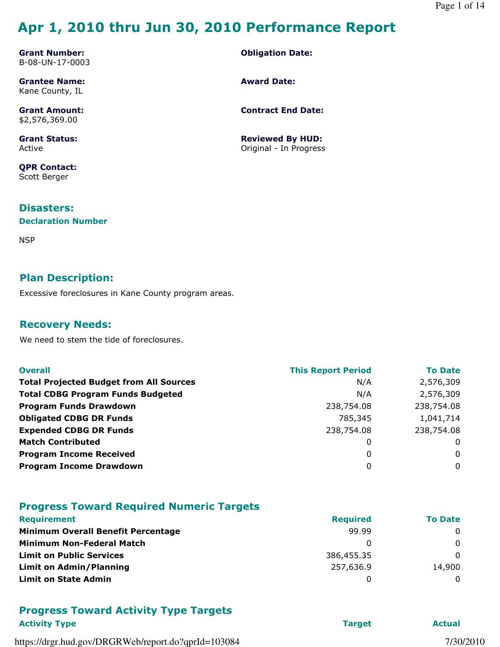# Apr 1, 2010 thru Jun 30, 2010 Performance Report

Grant Number: B-08-UN-17-0003

Grantee Name: Kane County, IL

Grant Amount: \$2,576,369.00

Grant Status: Active

QPR Contact: Scott Berger

#### Disasters:

#### Declaration Number

**NSP** 

#### Plan Description:

Excessive foreclosures in Kane County program areas.

#### Recovery Needs:

We need to stem the tide of foreclosures.

| <b>Overall</b>                                 | <b>This Report Period</b> | <b>To Date</b> |
|------------------------------------------------|---------------------------|----------------|
| <b>Total Projected Budget from All Sources</b> | N/A                       | 2,576,309      |
| <b>Total CDBG Program Funds Budgeted</b>       | N/A                       | 2,576,309      |
| <b>Program Funds Drawdown</b>                  | 238,754.08                | 238,754.08     |
| <b>Obligated CDBG DR Funds</b>                 | 785,345                   | 1,041,714      |
| <b>Expended CDBG DR Funds</b>                  | 238,754.08                | 238,754.08     |
| <b>Match Contributed</b>                       | 0                         | 0              |
| <b>Program Income Received</b>                 | 0                         | 0              |
| <b>Program Income Drawdown</b>                 | 0                         | $\mathbf{0}$   |

#### Progress Toward Required Numeric Targets

| <b>Requirement</b>                        | <b>Required</b> | <b>To Date</b> |
|-------------------------------------------|-----------------|----------------|
| <b>Minimum Overall Benefit Percentage</b> | 99.99           | $\Omega$       |
| <b>Minimum Non-Federal Match</b>          |                 | $\Omega$       |
| <b>Limit on Public Services</b>           | 386,455.35      | $\Omega$       |
| <b>Limit on Admin/Planning</b>            | 257,636.9       | 14,900         |
| <b>Limit on State Admin</b>               |                 | $\Omega$       |

#### Progress Toward Activity Type Targets Activity Type **Target** Actual Activity Type **Target** Actual Activity Type **Actual**

https://drgr.hud.gov/DRGRWeb/report.do?qprId=103084 7/30/2010

Obligation Date:

Award Date:

Contract End Date:

Reviewed By HUD: Original - In Progress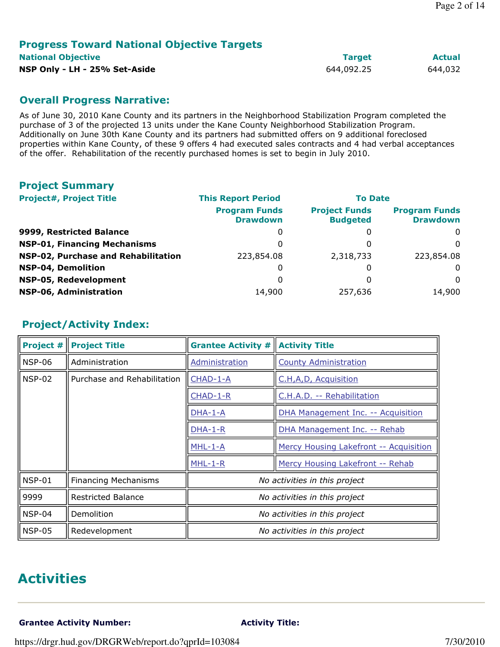#### Progress Toward National Objective Targets National Objective **Target Actual Actual** Actual Actual Actual Actual Actual Actual Actual Actual Actual Actual Actual Actual Actual Actual Actual Actual Actual Actual Actual Actual Actual Actual Actual Actual Actual Actua

NSP Only - LH - 25% Set-Aside 644,092.25 644,032

#### Overall Progress Narrative:

As of June 30, 2010 Kane County and its partners in the Neighborhood Stabilization Program completed the purchase of 3 of the projected 13 units under the Kane County Neighborhood Stabilization Program. Additionally on June 30th Kane County and its partners had submitted offers on 9 additional foreclosed properties within Kane County, of these 9 offers 4 had executed sales contracts and 4 had verbal acceptances of the offer. Rehabilitation of the recently purchased homes is set to begin in July 2010.

#### Project Summary

| <b>Project#, Project Title</b>      | <b>This Report Period</b>               | <b>To Date</b>                          |                                         |  |  |
|-------------------------------------|-----------------------------------------|-----------------------------------------|-----------------------------------------|--|--|
|                                     | <b>Program Funds</b><br><b>Drawdown</b> | <b>Project Funds</b><br><b>Budgeted</b> | <b>Program Funds</b><br><b>Drawdown</b> |  |  |
| 9999, Restricted Balance            | 0                                       | 0                                       | 0                                       |  |  |
| <b>NSP-01, Financing Mechanisms</b> | 0                                       | O                                       | $\Omega$                                |  |  |
| NSP-02, Purchase and Rehabilitation | 223,854.08                              | 2,318,733                               | 223,854.08                              |  |  |
| <b>NSP-04, Demolition</b>           | 0                                       | 0                                       | $\Omega$                                |  |  |
| NSP-05, Redevelopment               | 0                                       | O                                       | $\Omega$                                |  |  |
| NSP-06, Administration              | 14,900                                  | 257,636                                 | 14,900                                  |  |  |

#### Project/Activity Index:

| <b>Project #</b> | <b>Project Title</b>        | <b>Grantee Activity #</b><br><b>Activity Title</b>   |                                  |  |  |
|------------------|-----------------------------|------------------------------------------------------|----------------------------------|--|--|
| <b>NSP-06</b>    | Administration              | <b>County Administration</b><br>Administration       |                                  |  |  |
| <b>NSP-02</b>    | Purchase and Rehabilitation | CHAD-1-A<br>C.H,A,D, Acquisition                     |                                  |  |  |
|                  |                             | CHAD-1-R                                             | C.H.A.D. -- Rehabilitation       |  |  |
|                  |                             | DHA-1-A<br><b>DHA Management Inc. -- Acquisition</b> |                                  |  |  |
|                  |                             | $DHA-1-R$<br>DHA Management Inc. -- Rehab            |                                  |  |  |
|                  |                             | $MHL-1-A$<br>Mercy Housing Lakefront -- Acquisition  |                                  |  |  |
|                  |                             | $MHL-1-R$                                            | Mercy Housing Lakefront -- Rehab |  |  |
| <b>NSP-01</b>    | <b>Financing Mechanisms</b> |                                                      | No activities in this project    |  |  |
| 9999             | <b>Restricted Balance</b>   | No activities in this project                        |                                  |  |  |
| $NSP-04$         | Demolition                  | No activities in this project                        |                                  |  |  |
| <b>NSP-05</b>    | Redevelopment               |                                                      | No activities in this project    |  |  |

### Activities

Grantee Activity Number: Activity Title: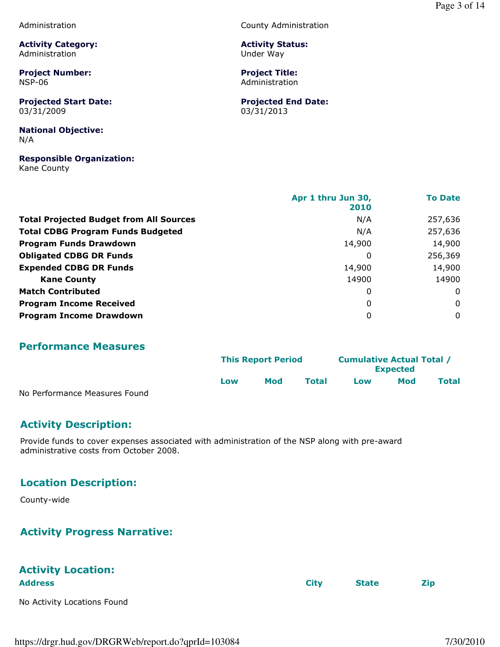Administration

Activity Category: Administration

Project Number: NSP-06

Projected Start Date: 03/31/2009

National Objective: N/A

Responsible Organization: Kane County

County Administration

Activity Status: Under Way

Project Title: Administration

Projected End Date: 03/31/2013

|                                                | Apr 1 thru Jun 30,<br>2010 | <b>To Date</b> |
|------------------------------------------------|----------------------------|----------------|
| <b>Total Projected Budget from All Sources</b> | N/A                        | 257,636        |
| <b>Total CDBG Program Funds Budgeted</b>       | N/A                        | 257,636        |
| <b>Program Funds Drawdown</b>                  | 14,900                     | 14,900         |
| <b>Obligated CDBG DR Funds</b>                 | 0                          | 256,369        |
| <b>Expended CDBG DR Funds</b>                  | 14,900                     | 14,900         |
| <b>Kane County</b>                             | 14900                      | 14900          |
| <b>Match Contributed</b>                       | 0                          | 0              |
| <b>Program Income Received</b>                 | 0                          | $\mathbf 0$    |
| <b>Program Income Drawdown</b>                 | 0                          | $\mathbf 0$    |

#### Performance Measures

|                               |     | <b>This Report Period</b> |       |     | <b>Cumulative Actual Total /</b><br><b>Expected</b> |              |  |
|-------------------------------|-----|---------------------------|-------|-----|-----------------------------------------------------|--------------|--|
|                               | Low | Mod                       | Total | Low | Mod                                                 | <b>Total</b> |  |
| No Performance Measures Found |     |                           |       |     |                                                     |              |  |

No Performance Measures Found

#### Activity Description:

Provide funds to cover expenses associated with administration of the NSP along with pre-award administrative costs from October 2008.

#### Location Description:

County-wide

#### Activity Progress Narrative:

# Activity Location:

No Activity Locations Found

Address City State Zip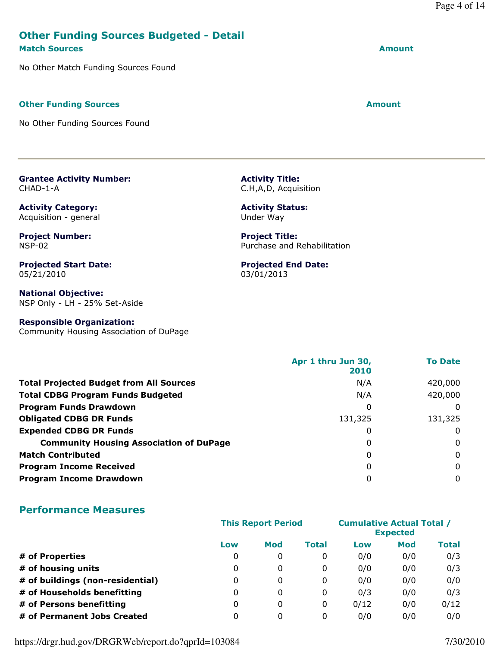#### Other Funding Sources Budgeted - Detail Match Sources Amount

No Other Match Funding Sources Found

#### Other Funding Sources Amount

Grantee Activity Number:

Activity Category: Acquisition - general

Project Number:

Projected Start Date:

CHAD-1-A

NSP-02

05/21/2010

No Other Funding Sources Found

Activity Title: C.H,A,D, Acquisition

Activity Status: Under Way

Project Title: Purchase and Rehabilitation

Projected End Date: 03/01/2013

National Objective: NSP Only - LH - 25% Set-Aside

#### Responsible Organization:

Community Housing Association of DuPage

|                                                | Apr 1 thru Jun 30,<br>2010 | <b>To Date</b> |
|------------------------------------------------|----------------------------|----------------|
| <b>Total Projected Budget from All Sources</b> | N/A                        | 420,000        |
| <b>Total CDBG Program Funds Budgeted</b>       | N/A                        | 420,000        |
| <b>Program Funds Drawdown</b>                  | 0                          | $\Omega$       |
| <b>Obligated CDBG DR Funds</b>                 | 131,325                    | 131,325        |
| <b>Expended CDBG DR Funds</b>                  | $\Omega$                   | 0              |
| <b>Community Housing Association of DuPage</b> | 0                          | 0              |
| <b>Match Contributed</b>                       | 0                          | $\Omega$       |
| <b>Program Income Received</b>                 | 0                          | 0              |
| <b>Program Income Drawdown</b>                 | 0                          | $\Omega$       |

#### Performance Measures

|                                  | <b>This Report Period</b> |              |       | <b>Cumulative Actual Total /</b><br><b>Expected</b> |            |       |
|----------------------------------|---------------------------|--------------|-------|-----------------------------------------------------|------------|-------|
|                                  | Low                       | Mod          | Total | Low                                                 | <b>Mod</b> | Total |
| # of Properties                  | 0                         | $\mathbf{0}$ | 0     | 0/0                                                 | 0/0        | 0/3   |
| # of housing units               | 0                         | 0            | 0     | 0/0                                                 | 0/0        | 0/3   |
| # of buildings (non-residential) | 0                         | $\mathbf{0}$ | 0     | 0/0                                                 | 0/0        | 0/0   |
| # of Households benefitting      | 0                         | $\mathbf{0}$ | 0     | 0/3                                                 | 0/0        | 0/3   |
| # of Persons benefitting         | 0                         | $\mathbf{0}$ | 0     | 0/12                                                | 0/0        | 0/12  |
| # of Permanent Jobs Created      | 0                         | $\mathbf{0}$ | 0     | 0/0                                                 | 0/0        | 0/0   |

https://drgr.hud.gov/DRGRWeb/report.do?qprId=103084 7/30/2010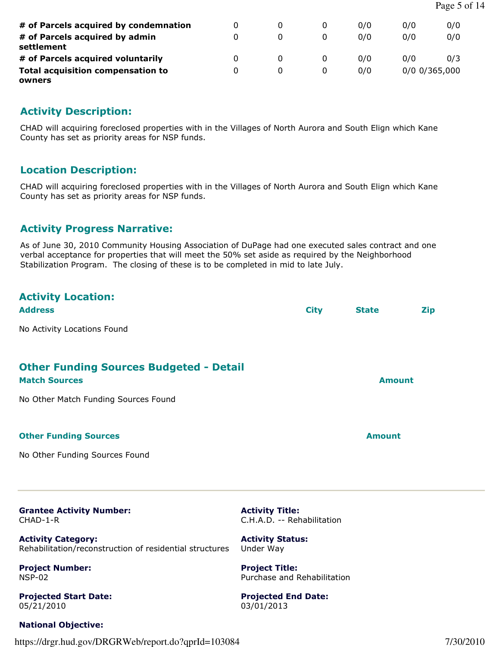| # of Parcels acquired by condemnation              | 0 |   | 0/0 | 0/0             | 0/0 |
|----------------------------------------------------|---|---|-----|-----------------|-----|
| # of Parcels acquired by admin<br>settlement       | 0 |   | 0/0 | 0/0             | 0/0 |
| # of Parcels acquired voluntarily                  | 0 |   | 0/0 | 0/0             | 0/3 |
| <b>Total acquisition compensation to</b><br>owners | 0 | 0 | 0/0 | $0/0$ 0/365,000 |     |

#### Activity Description:

CHAD will acquiring foreclosed properties with in the Villages of North Aurora and South Elign which Kane County has set as priority areas for NSP funds.

#### Location Description:

CHAD will acquiring foreclosed properties with in the Villages of North Aurora and South Elign which Kane County has set as priority areas for NSP funds.

#### Activity Progress Narrative:

As of June 30, 2010 Community Housing Association of DuPage had one executed sales contract and one verbal acceptance for properties that will meet the 50% set aside as required by the Neighborhood Stabilization Program. The closing of these is to be completed in mid to late July.

# Activity Location: Address City State Zip No Activity Locations Found Other Funding Sources Budgeted - Detail Match Sources **Amount Amount** No Other Match Funding Sources Found Other Funding Sources Amount No Other Funding Sources Found

Grantee Activity Number: CHAD-1-R

Activity Category: Rehabilitation/reconstruction of residential structures

Project Number: NSP-02

Projected Start Date: 05/21/2010

#### National Objective:

https://drgr.hud.gov/DRGRWeb/report.do?qprId=103084 7/30/2010

Activity Title: C.H.A.D. -- Rehabilitation

Activity Status: Under Way

Project Title: Purchase and Rehabilitation

Projected End Date: 03/01/2013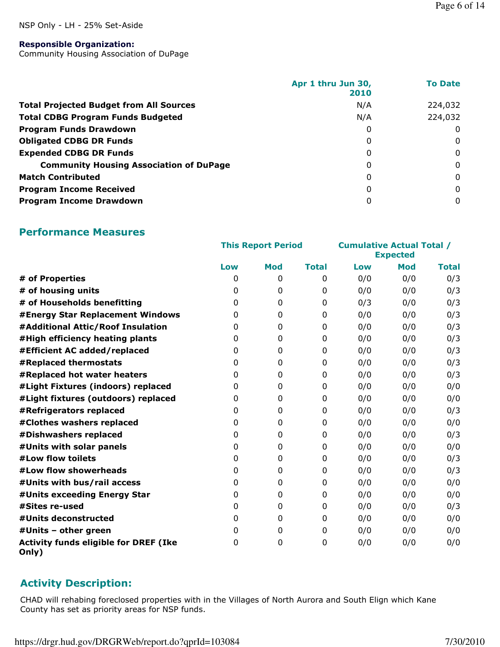#### NSP Only - LH - 25% Set-Aside

#### Responsible Organization:

Community Housing Association of DuPage

|                                                | Apr 1 thru Jun 30,<br>2010 | <b>To Date</b> |
|------------------------------------------------|----------------------------|----------------|
| <b>Total Projected Budget from All Sources</b> | N/A                        | 224,032        |
| <b>Total CDBG Program Funds Budgeted</b>       | N/A                        | 224,032        |
| <b>Program Funds Drawdown</b>                  | 0                          | 0              |
| <b>Obligated CDBG DR Funds</b>                 | 0                          | 0              |
| <b>Expended CDBG DR Funds</b>                  | 0                          | 0              |
| <b>Community Housing Association of DuPage</b> | 0                          | $\Omega$       |
| <b>Match Contributed</b>                       | 0                          | $\mathbf{0}$   |
| <b>Program Income Received</b>                 | 0                          | $\Omega$       |
| <b>Program Income Drawdown</b>                 | 0                          | $\Omega$       |

#### Performance Measures

|                                                       | <b>This Report Period</b> |                  |              | <b>Cumulative Actual Total /</b> | <b>Expected</b> |              |
|-------------------------------------------------------|---------------------------|------------------|--------------|----------------------------------|-----------------|--------------|
|                                                       | Low                       | <b>Mod</b>       | <b>Total</b> | Low                              | <b>Mod</b>      | <b>Total</b> |
| # of Properties                                       | $\mathbf{0}$              | 0                | $\Omega$     | 0/0                              | 0/0             | 0/3          |
| # of housing units                                    | 0                         | 0                | 0            | 0/0                              | 0/0             | 0/3          |
| # of Households benefitting                           | 0                         | 0                | $\mathbf{0}$ | 0/3                              | 0/0             | 0/3          |
| #Energy Star Replacement Windows                      | 0                         | $\mathbf 0$      | $\mathbf{0}$ | 0/0                              | 0/0             | 0/3          |
| #Additional Attic/Roof Insulation                     | 0                         | 0                | $\mathbf{0}$ | 0/0                              | 0/0             | 0/3          |
| #High efficiency heating plants                       | 0                         | $\mathbf{0}$     | $\mathbf{0}$ | 0/0                              | 0/0             | 0/3          |
| #Efficient AC added/replaced                          | 0                         | $\mathbf 0$      | $\mathbf{0}$ | 0/0                              | 0/0             | 0/3          |
| #Replaced thermostats                                 | 0                         | $\boldsymbol{0}$ | 0            | 0/0                              | 0/0             | 0/3          |
| #Replaced hot water heaters                           | 0                         | 0                | $\mathbf{0}$ | 0/0                              | 0/0             | 0/3          |
| #Light Fixtures (indoors) replaced                    | 0                         | 0                | $\mathbf{0}$ | 0/0                              | 0/0             | 0/0          |
| #Light fixtures (outdoors) replaced                   | 0                         | 0                | $\mathbf{0}$ | 0/0                              | 0/0             | 0/0          |
| #Refrigerators replaced                               | 0                         | 0                | $\Omega$     | 0/0                              | 0/0             | 0/3          |
| #Clothes washers replaced                             | 0                         | $\mathbf 0$      | $\mathbf{0}$ | 0/0                              | 0/0             | 0/0          |
| #Dishwashers replaced                                 | 0                         | $\pmb{0}$        | 0            | 0/0                              | 0/0             | 0/3          |
| #Units with solar panels                              | 0                         | 0                | $\mathbf{0}$ | 0/0                              | 0/0             | 0/0          |
| #Low flow toilets                                     | 0                         | $\pmb{0}$        | $\mathbf{0}$ | 0/0                              | 0/0             | 0/3          |
| #Low flow showerheads                                 | 0                         | 0                | $\mathbf{0}$ | 0/0                              | 0/0             | 0/3          |
| #Units with bus/rail access                           | 0                         | 0                | 0            | 0/0                              | 0/0             | 0/0          |
| #Units exceeding Energy Star                          | 0                         | $\mathbf 0$      | $\mathbf{0}$ | 0/0                              | 0/0             | 0/0          |
| #Sites re-used                                        | $\mathbf{0}$              | 0                | 0            | 0/0                              | 0/0             | 0/3          |
| #Units deconstructed                                  | 0                         | 0                | $\mathbf{0}$ | 0/0                              | 0/0             | 0/0          |
| #Units - other green                                  | 0                         | 0                | $\mathbf{0}$ | 0/0                              | 0/0             | 0/0          |
| <b>Activity funds eligible for DREF (Ike</b><br>Only) | 0                         | 0                | 0            | 0/0                              | 0/0             | 0/0          |

#### Activity Description:

CHAD will rehabing foreclosed properties with in the Villages of North Aurora and South Elign which Kane County has set as priority areas for NSP funds.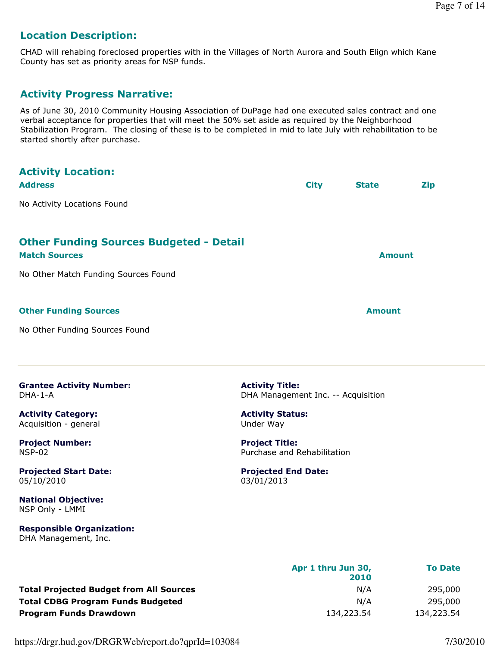### Location Description:

CHAD will rehabing foreclosed properties with in the Villages of North Aurora and South Elign which Kane County has set as priority areas for NSP funds.

#### Activity Progress Narrative:

As of June 30, 2010 Community Housing Association of DuPage had one executed sales contract and one verbal acceptance for properties that will meet the 50% set aside as required by the Neighborhood Stabilization Program. The closing of these is to be completed in mid to late July with rehabilitation to be started shortly after purchase.

| <b>Activity Location:</b><br><b>Address</b>                            |                                                              | <b>City</b> | <b>State</b>  | <b>Zip</b> |
|------------------------------------------------------------------------|--------------------------------------------------------------|-------------|---------------|------------|
| No Activity Locations Found                                            |                                                              |             |               |            |
| <b>Other Funding Sources Budgeted - Detail</b><br><b>Match Sources</b> |                                                              |             | <b>Amount</b> |            |
| No Other Match Funding Sources Found                                   |                                                              |             |               |            |
| <b>Other Funding Sources</b>                                           |                                                              |             | <b>Amount</b> |            |
| No Other Funding Sources Found                                         |                                                              |             |               |            |
| <b>Grantee Activity Number:</b><br>DHA-1-A                             | <b>Activity Title:</b><br>DHA Management Inc. -- Acquisition |             |               |            |
| <b>Activity Category:</b><br>Acquisition - general                     | <b>Activity Status:</b><br>Under Way                         |             |               |            |
|                                                                        |                                                              |             |               |            |

Project Number: NSP-02

Projected Start Date: 05/10/2010

National Objective: NSP Only - LMMI

Responsible Organization: DHA Management, Inc.

Project Title: Purchase and Rehabilitation

#### Projected End Date: 03/01/2013

|                                                | Apr 1 thru Jun 30,<br>2010 | <b>To Date</b> |
|------------------------------------------------|----------------------------|----------------|
| <b>Total Projected Budget from All Sources</b> | N/A                        | 295,000        |
| <b>Total CDBG Program Funds Budgeted</b>       | N/A                        | 295,000        |
| Program Funds Drawdown                         | 134,223.54                 | 134,223.54     |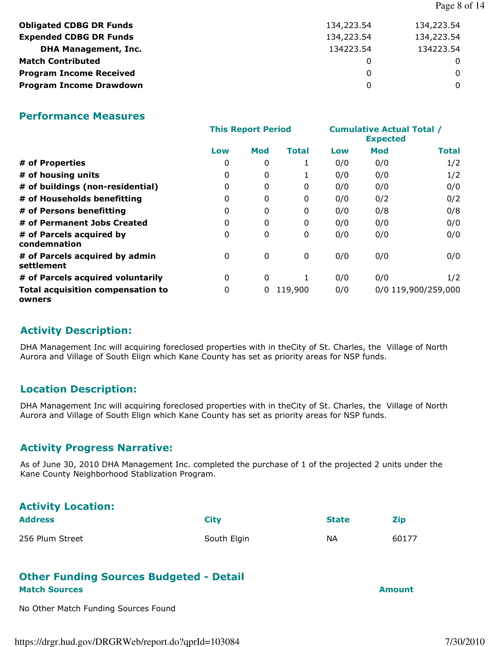|                                |            | Page 8 of 14 |
|--------------------------------|------------|--------------|
| <b>Obligated CDBG DR Funds</b> | 134,223.54 | 134,223.54   |
| <b>Expended CDBG DR Funds</b>  | 134,223.54 | 134,223.54   |
| <b>DHA Management, Inc.</b>    | 134223.54  | 134223.54    |
| <b>Match Contributed</b>       | 0          | 0            |
| <b>Program Income Received</b> | 0          | 0            |
| <b>Program Income Drawdown</b> | 0          | 0            |

#### Performance Measures

|                                                    | <b>This Report Period</b> |              |              |     | <b>Cumulative Actual Total /</b> |                     |
|----------------------------------------------------|---------------------------|--------------|--------------|-----|----------------------------------|---------------------|
|                                                    | Low                       | Mod          | <b>Total</b> | Low | Mod                              | <b>Total</b>        |
| # of Properties                                    | 0                         | 0            | 1            | 0/0 | 0/0                              | 1/2                 |
| # of housing units                                 | 0                         | 0            | 1            | 0/0 | 0/0                              | 1/2                 |
| # of buildings (non-residential)                   | 0                         | 0            | 0            | 0/0 | 0/0                              | 0/0                 |
| # of Households benefitting                        | 0                         | $\mathbf{0}$ | 0            | 0/0 | 0/2                              | 0/2                 |
| # of Persons benefitting                           | 0                         | $\mathbf{0}$ | 0            | 0/0 | 0/8                              | 0/8                 |
| # of Permanent Jobs Created                        | 0                         | $\mathbf{0}$ | 0            | 0/0 | 0/0                              | 0/0                 |
| # of Parcels acquired by<br>condemnation           | $\mathbf{0}$              | $\Omega$     | 0            | 0/0 | 0/0                              | 0/0                 |
| # of Parcels acquired by admin<br>settlement       | 0                         | $\mathbf{0}$ | 0            | 0/0 | 0/0                              | 0/0                 |
| # of Parcels acquired voluntarily                  | 0                         | $\mathbf{0}$ |              | 0/0 | 0/0                              | 1/2                 |
| <b>Total acquisition compensation to</b><br>owners | 0                         | 0            | 119,900      | 0/0 |                                  | 0/0 119,900/259,000 |

#### Activity Description:

DHA Management Inc will acquiring foreclosed properties with in theCity of St. Charles, the Village of North Aurora and Village of South Elign which Kane County has set as priority areas for NSP funds.

#### Location Description:

DHA Management Inc will acquiring foreclosed properties with in theCity of St. Charles, the Village of North Aurora and Village of South Elign which Kane County has set as priority areas for NSP funds.

#### Activity Progress Narrative:

As of June 30, 2010 DHA Management Inc. completed the purchase of 1 of the projected 2 units under the Kane County Neighborhood Stablization Program.

#### Activity Location:

| <b>Address</b>  | Citv        | <b>State</b> | <b>Zip</b> |
|-----------------|-------------|--------------|------------|
| 256 Plum Street | South Elgin | ΝA           | 60177      |

#### Other Funding Sources Budgeted - Detail Match Sources Amount

No Other Match Funding Sources Found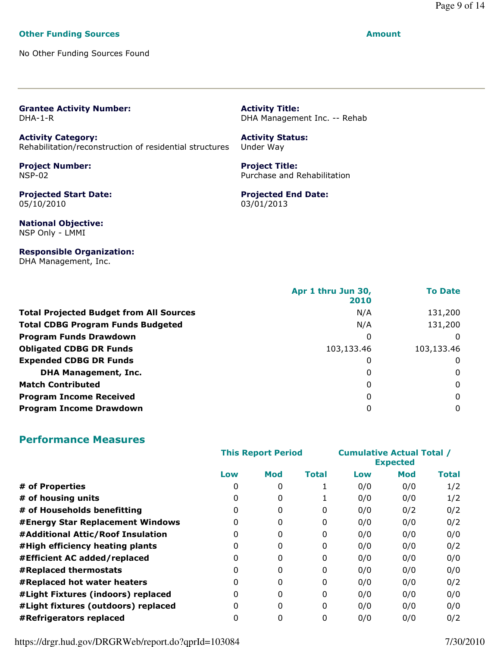#### Page 9 of 14

#### Other Funding Sources Amount

No Other Funding Sources Found

#### Grantee Activity Number: DHA-1-R

Activity Category: Rehabilitation/reconstruction of residential structures

Project Number: NSP-02

Projected Start Date: 05/10/2010

National Objective: NSP Only - LMMI

#### Responsible Organization: DHA Management, Inc.

Activity Title: DHA Management Inc. -- Rehab

#### Activity Status: Under Way

Project Title: Purchase and Rehabilitation

#### Projected End Date: 03/01/2013

|                                                | Apr 1 thru Jun 30,<br>2010 | <b>To Date</b> |
|------------------------------------------------|----------------------------|----------------|
| <b>Total Projected Budget from All Sources</b> | N/A                        | 131,200        |
| <b>Total CDBG Program Funds Budgeted</b>       | N/A                        | 131,200        |
| <b>Program Funds Drawdown</b>                  | 0                          | 0              |
| <b>Obligated CDBG DR Funds</b>                 | 103,133.46                 | 103,133.46     |
| <b>Expended CDBG DR Funds</b>                  | 0                          | 0              |
| <b>DHA Management, Inc.</b>                    | 0                          | 0              |
| <b>Match Contributed</b>                       | 0                          | $\Omega$       |
| <b>Program Income Received</b>                 | 0                          | 0              |
| <b>Program Income Drawdown</b>                 | 0                          | $\Omega$       |

#### Performance Measures

|                                     | <b>This Report Period</b> |              |          | <b>Cumulative Actual Total /</b><br><b>Expected</b> |            |              |
|-------------------------------------|---------------------------|--------------|----------|-----------------------------------------------------|------------|--------------|
|                                     | Low                       | Mod          | Total    | Low                                                 | <b>Mod</b> | <b>Total</b> |
| # of Properties                     | 0                         | 0            |          | 0/0                                                 | 0/0        | 1/2          |
| # of housing units                  | 0                         | 0            |          | 0/0                                                 | 0/0        | 1/2          |
| # of Households benefitting         | 0                         | 0            | 0        | 0/0                                                 | 0/2        | 0/2          |
| #Energy Star Replacement Windows    | 0                         | 0            | 0        | 0/0                                                 | 0/0        | 0/2          |
| #Additional Attic/Roof Insulation   | 0                         | 0            | 0        | 0/0                                                 | 0/0        | 0/0          |
| #High efficiency heating plants     | 0                         | 0            | 0        | 0/0                                                 | 0/0        | 0/2          |
| #Efficient AC added/replaced        | 0                         | 0            | 0        | 0/0                                                 | 0/0        | 0/0          |
| #Replaced thermostats               | 0                         | $\mathbf{0}$ | $\Omega$ | 0/0                                                 | 0/0        | 0/0          |
| #Replaced hot water heaters         | 0                         | 0            | 0        | 0/0                                                 | 0/0        | 0/2          |
| #Light Fixtures (indoors) replaced  | 0                         | 0            | 0        | 0/0                                                 | 0/0        | 0/0          |
| #Light fixtures (outdoors) replaced | 0                         | 0            | 0        | 0/0                                                 | 0/0        | 0/0          |
| #Refrigerators replaced             | 0                         | 0            | 0        | 0/0                                                 | 0/0        | 0/2          |

https://drgr.hud.gov/DRGRWeb/report.do?qprId=103084 7/30/2010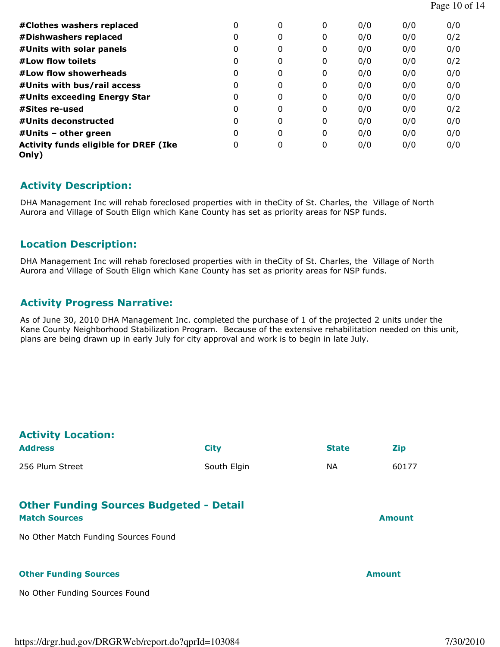| Page 10 of 14 |  |  |  |
|---------------|--|--|--|
|---------------|--|--|--|

| #Clothes washers replaced                             | 0        | 0 | 0 | 0/0 | 0/0 | 0/0 |
|-------------------------------------------------------|----------|---|---|-----|-----|-----|
| #Dishwashers replaced                                 | 0        | 0 | 0 | 0/0 | 0/0 | 0/2 |
| #Units with solar panels                              | 0        | 0 | 0 | 0/0 | 0/0 | 0/0 |
| #Low flow toilets                                     | 0        | 0 | 0 | 0/0 | 0/0 | 0/2 |
| #Low flow showerheads                                 | 0        | 0 | 0 | 0/0 | 0/0 | 0/0 |
| #Units with bus/rail access                           | 0        | 0 | 0 | 0/0 | 0/0 | 0/0 |
| #Units exceeding Energy Star                          | 0        | 0 | 0 | 0/0 | 0/0 | 0/0 |
| #Sites re-used                                        | $\Omega$ | 0 | 0 | 0/0 | 0/0 | 0/2 |
| #Units deconstructed                                  | 0        | 0 | 0 | 0/0 | 0/0 | 0/0 |
| $#$ Units – other green                               | 0        | 0 | 0 | 0/0 | 0/0 | 0/0 |
| <b>Activity funds eligible for DREF (Ike</b><br>Only) | 0        | 0 | 0 | 0/0 | 0/0 | 0/0 |

#### Activity Description:

DHA Management Inc will rehab foreclosed properties with in theCity of St. Charles, the Village of North Aurora and Village of South Elign which Kane County has set as priority areas for NSP funds.

#### Location Description:

DHA Management Inc will rehab foreclosed properties with in theCity of St. Charles, the Village of North Aurora and Village of South Elign which Kane County has set as priority areas for NSP funds.

#### Activity Progress Narrative:

As of June 30, 2010 DHA Management Inc. completed the purchase of 1 of the projected 2 units under the Kane County Neighborhood Stabilization Program. Because of the extensive rehabilitation needed on this unit, plans are being drawn up in early July for city approval and work is to begin in late July.

| <b>Activity Location:</b><br><b>Address</b>                            | <b>City</b> | <b>State</b> | <b>Zip</b>    |
|------------------------------------------------------------------------|-------------|--------------|---------------|
| 256 Plum Street                                                        | South Elgin | NA.          | 60177         |
| <b>Other Funding Sources Budgeted - Detail</b><br><b>Match Sources</b> |             |              | <b>Amount</b> |
| No Other Match Funding Sources Found                                   |             |              |               |
| <b>Other Funding Sources</b><br>No Other Funding Sources Found         |             |              | <b>Amount</b> |
|                                                                        |             |              |               |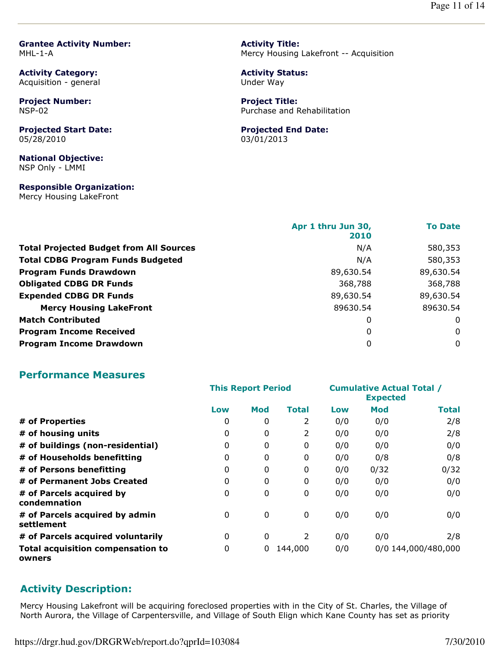Grantee Activity Number: MHL-1-A

Activity Category: Acquisition - general

Project Number: NSP-02

Projected Start Date: 05/28/2010

National Objective: NSP Only - LMMI

Responsible Organization: Mercy Housing LakeFront

Activity Title: Mercy Housing Lakefront -- Acquisition

Activity Status: Under Way

Project Title: Purchase and Rehabilitation

#### Projected End Date:

03/01/2013

|                                                | Apr 1 thru Jun 30, | <b>To Date</b> |
|------------------------------------------------|--------------------|----------------|
|                                                | 2010               |                |
| <b>Total Projected Budget from All Sources</b> | N/A                | 580,353        |
| <b>Total CDBG Program Funds Budgeted</b>       | N/A                | 580,353        |
| <b>Program Funds Drawdown</b>                  | 89,630.54          | 89,630.54      |
| <b>Obligated CDBG DR Funds</b>                 | 368,788            | 368,788        |
| <b>Expended CDBG DR Funds</b>                  | 89,630.54          | 89,630.54      |
| <b>Mercy Housing LakeFront</b>                 | 89630.54           | 89630.54       |
| <b>Match Contributed</b>                       | 0                  | 0              |
| <b>Program Income Received</b>                 | 0                  | $\mathbf 0$    |
| <b>Program Income Drawdown</b>                 | 0                  | $\Omega$       |

#### Performance Measures

|                                                    | <b>This Report Period</b> |              |         | <b>Cumulative Actual Total /</b><br><b>Expected</b> |      |                     |
|----------------------------------------------------|---------------------------|--------------|---------|-----------------------------------------------------|------|---------------------|
|                                                    | Low                       | <b>Mod</b>   | Total   | Low                                                 | Mod  | Total               |
| # of Properties                                    | 0                         | 0            | 2       | 0/0                                                 | 0/0  | 2/8                 |
| # of housing units                                 | 0                         | $\mathbf{0}$ | 2       | 0/0                                                 | 0/0  | 2/8                 |
| # of buildings (non-residential)                   | 0                         | 0            | 0       | 0/0                                                 | 0/0  | 0/0                 |
| # of Households benefitting                        | 0                         | 0            | 0       | 0/0                                                 | 0/8  | 0/8                 |
| # of Persons benefitting                           | 0                         | 0            | 0       | 0/0                                                 | 0/32 | 0/32                |
| # of Permanent Jobs Created                        | 0                         | $\mathbf{0}$ | 0       | 0/0                                                 | 0/0  | 0/0                 |
| # of Parcels acquired by<br>condemnation           | 0                         | $\mathbf{0}$ | 0       | 0/0                                                 | 0/0  | 0/0                 |
| # of Parcels acquired by admin<br>settlement       | 0                         | $\mathbf{0}$ | 0       | 0/0                                                 | 0/0  | 0/0                 |
| # of Parcels acquired voluntarily                  | 0                         | 0            | 2       | 0/0                                                 | 0/0  | 2/8                 |
| <b>Total acquisition compensation to</b><br>owners | 0                         | 0            | 144,000 | 0/0                                                 |      | 0/0 144,000/480,000 |

#### Activity Description:

Mercy Housing Lakefront will be acquiring foreclosed properties with in the City of St. Charles, the Village of North Aurora, the Village of Carpentersville, and Village of South Elign which Kane County has set as priority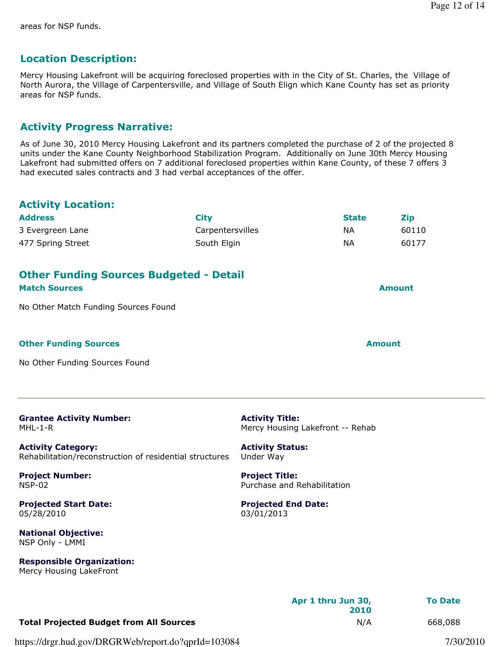### Location Description:

Mercy Housing Lakefront will be acquiring foreclosed properties with in the City of St. Charles, the Village of North Aurora, the Village of Carpentersville, and Village of South Elign which Kane County has set as priority areas for NSP funds.

#### Activity Progress Narrative:

As of June 30, 2010 Mercy Housing Lakefront and its partners completed the purchase of 2 of the projected 8 units under the Kane County Neighborhood Stabilization Program. Additionally on June 30th Mercy Housing Lakefront had submitted offers on 7 additional foreclosed properties within Kane County, of these 7 offers 3 had executed sales contracts and 3 had verbal acceptances of the offer.

#### Activity Location:

| <b>Address</b><br><b>City</b>                                                        |                  |                                                            | <b>State</b>  | <b>Zip</b> |  |
|--------------------------------------------------------------------------------------|------------------|------------------------------------------------------------|---------------|------------|--|
| 3 Evergreen Lane                                                                     | Carpentersvilles |                                                            | <b>NA</b>     | 60110      |  |
| 477 Spring Street                                                                    | South Elgin      |                                                            | <b>NA</b>     | 60177      |  |
|                                                                                      |                  |                                                            |               |            |  |
| <b>Other Funding Sources Budgeted - Detail</b><br><b>Match Sources</b>               |                  |                                                            | <b>Amount</b> |            |  |
| No Other Match Funding Sources Found                                                 |                  |                                                            |               |            |  |
|                                                                                      |                  |                                                            |               |            |  |
| <b>Other Funding Sources</b>                                                         |                  |                                                            | <b>Amount</b> |            |  |
| No Other Funding Sources Found                                                       |                  |                                                            |               |            |  |
|                                                                                      |                  |                                                            |               |            |  |
| <b>Grantee Activity Number:</b><br>MHL-1-R                                           |                  | <b>Activity Title:</b><br>Mercy Housing Lakefront -- Rehab |               |            |  |
| <b>Activity Category:</b><br>Rehabilitation/reconstruction of residential structures |                  | <b>Activity Status:</b><br>Under Way                       |               |            |  |
| <b>Project Number:</b><br><b>NSP-02</b>                                              |                  | <b>Project Title:</b><br>Purchase and Rehabilitation       |               |            |  |
| <b>Projected Start Date:</b><br>05/28/2010                                           |                  | <b>Projected End Date:</b><br>03/01/2013                   |               |            |  |
| <b>National Objective:</b><br>NSP Only - LMMI                                        |                  |                                                            |               |            |  |

Apr 1 thru Jun 30, 2010 To Date Total Projected Budget from All Sources **N/A** 668,088

https://drgr.hud.gov/DRGRWeb/report.do?qprId=103084 7/30/2010

Responsible Organization: Mercy Housing LakeFront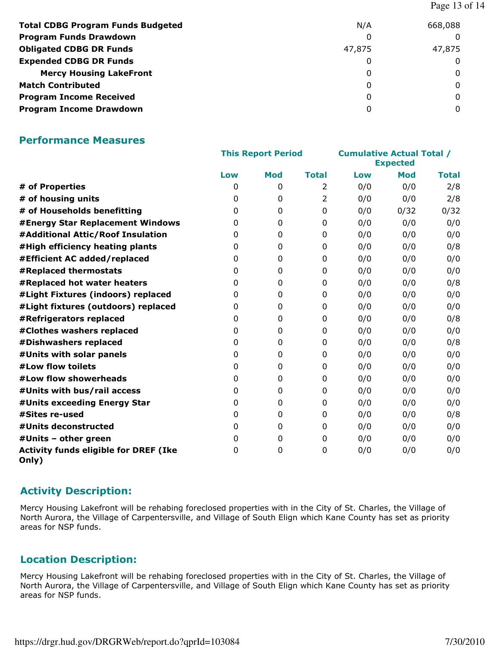| <b>Total CDBG Program Funds Budgeted</b> | N/A    | 668,088 |
|------------------------------------------|--------|---------|
| <b>Program Funds Drawdown</b>            | 0      |         |
| <b>Obligated CDBG DR Funds</b>           | 47,875 | 47,875  |
| <b>Expended CDBG DR Funds</b>            | 0      |         |
| <b>Mercy Housing LakeFront</b>           | 0      | 0       |
| <b>Match Contributed</b>                 | 0      | 0       |
| <b>Program Income Received</b>           | 0      | 0       |
| <b>Program Income Drawdown</b>           | 0      |         |

#### Performance Measures

|                                                       | <b>This Report Period</b> |            |                | <b>Cumulative Actual Total /</b><br><b>Expected</b> |            |              |
|-------------------------------------------------------|---------------------------|------------|----------------|-----------------------------------------------------|------------|--------------|
|                                                       | Low                       | <b>Mod</b> | <b>Total</b>   | Low                                                 | <b>Mod</b> | <b>Total</b> |
| # of Properties                                       | 0                         | 0          | 2              | 0/0                                                 | 0/0        | 2/8          |
| # of housing units                                    | 0                         | 0          | $\overline{2}$ | 0/0                                                 | 0/0        | 2/8          |
| # of Households benefitting                           | 0                         | 0          | $\mathbf{0}$   | 0/0                                                 | 0/32       | 0/32         |
| #Energy Star Replacement Windows                      | 0                         | 0          | $\mathbf{0}$   | 0/0                                                 | 0/0        | 0/0          |
| #Additional Attic/Roof Insulation                     | 0                         | 0          | $\mathbf{0}$   | 0/0                                                 | 0/0        | 0/0          |
| #High efficiency heating plants                       | 0                         | 0          | 0              | 0/0                                                 | 0/0        | 0/8          |
| #Efficient AC added/replaced                          | 0                         | 0          | $\Omega$       | 0/0                                                 | 0/0        | 0/0          |
| #Replaced thermostats                                 | 0                         | 0          | $\mathbf{0}$   | 0/0                                                 | 0/0        | 0/0          |
| #Replaced hot water heaters                           | 0                         | 0          | 0              | 0/0                                                 | 0/0        | 0/8          |
| #Light Fixtures (indoors) replaced                    | 0                         | 0          | 0              | 0/0                                                 | 0/0        | 0/0          |
| #Light fixtures (outdoors) replaced                   | 0                         | 0          | 0              | 0/0                                                 | 0/0        | 0/0          |
| #Refrigerators replaced                               | 0                         | 0          | $\Omega$       | 0/0                                                 | 0/0        | 0/8          |
| #Clothes washers replaced                             | 0                         | 0          | $\mathbf{0}$   | 0/0                                                 | 0/0        | 0/0          |
| #Dishwashers replaced                                 | 0                         | 0          | $\mathbf{0}$   | 0/0                                                 | 0/0        | 0/8          |
| #Units with solar panels                              | 0                         | 0          | $\mathbf{0}$   | 0/0                                                 | 0/0        | 0/0          |
| #Low flow toilets                                     | 0                         | 0          | 0              | 0/0                                                 | 0/0        | 0/0          |
| #Low flow showerheads                                 | 0                         | 0          | $\mathbf{0}$   | 0/0                                                 | 0/0        | 0/0          |
| #Units with bus/rail access                           | 0                         | 0          | 0              | 0/0                                                 | 0/0        | 0/0          |
| #Units exceeding Energy Star                          | 0                         | 0          | $\mathbf{0}$   | 0/0                                                 | 0/0        | 0/0          |
| #Sites re-used                                        | 0                         | 0          | $\mathbf{0}$   | 0/0                                                 | 0/0        | 0/8          |
| #Units deconstructed                                  | $\Omega$                  | 0          | 0              | 0/0                                                 | 0/0        | 0/0          |
| #Units - other green                                  | 0                         | 0          | $\mathbf{0}$   | 0/0                                                 | 0/0        | 0/0          |
| <b>Activity funds eligible for DREF (Ike</b><br>Only) | 0                         | 0          | 0              | 0/0                                                 | 0/0        | 0/0          |

#### Activity Description:

Mercy Housing Lakefront will be rehabing foreclosed properties with in the City of St. Charles, the Village of North Aurora, the Village of Carpentersville, and Village of South Elign which Kane County has set as priority areas for NSP funds.

#### Location Description:

Mercy Housing Lakefront will be rehabing foreclosed properties with in the City of St. Charles, the Village of North Aurora, the Village of Carpentersville, and Village of South Elign which Kane County has set as priority areas for NSP funds.